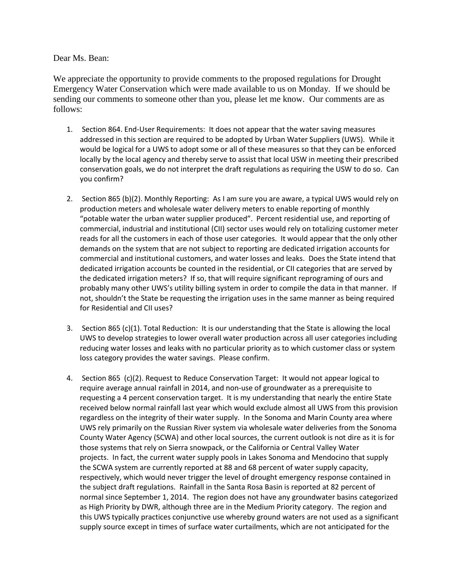## Dear Ms. Bean:

We appreciate the opportunity to provide comments to the proposed regulations for Drought Emergency Water Conservation which were made available to us on Monday. If we should be sending our comments to someone other than you, please let me know. Our comments are as follows:

- 1. Section 864. End-User Requirements: It does not appear that the water saving measures addressed in this section are required to be adopted by Urban Water Suppliers (UWS). While it would be logical for a UWS to adopt some or all of these measures so that they can be enforced locally by the local agency and thereby serve to assist that local USW in meeting their prescribed conservation goals, we do not interpret the draft regulations as requiring the USW to do so. Can you confirm?
- 2. Section 865 (b)(2). Monthly Reporting: As I am sure you are aware, a typical UWS would rely on production meters and wholesale water delivery meters to enable reporting of monthly "potable water the urban water supplier produced". Percent residential use, and reporting of commercial, industrial and institutional (CII) sector uses would rely on totalizing customer meter reads for all the customers in each of those user categories. It would appear that the only other demands on the system that are not subject to reporting are dedicated irrigation accounts for commercial and institutional customers, and water losses and leaks. Does the State intend that dedicated irrigation accounts be counted in the residential, or CII categories that are served by the dedicated irrigation meters? If so, that will require significant reprograming of ours and probably many other UWS's utility billing system in order to compile the data in that manner. If not, shouldn't the State be requesting the irrigation uses in the same manner as being required for Residential and CII uses?
- 3. Section 865 (c)(1). Total Reduction: It is our understanding that the State is allowing the local UWS to develop strategies to lower overall water production across all user categories including reducing water losses and leaks with no particular priority as to which customer class or system loss category provides the water savings. Please confirm.
- 4. Section 865 (c)(2). Request to Reduce Conservation Target: It would not appear logical to require average annual rainfall in 2014, and non-use of groundwater as a prerequisite to requesting a 4 percent conservation target. It is my understanding that nearly the entire State received below normal rainfall last year which would exclude almost all UWS from this provision regardless on the integrity of their water supply. In the Sonoma and Marin County area where UWS rely primarily on the Russian River system via wholesale water deliveries from the Sonoma County Water Agency (SCWA) and other local sources, the current outlook is not dire as it is for those systems that rely on Sierra snowpack, or the California or Central Valley Water projects. In fact, the current water supply pools in Lakes Sonoma and Mendocino that supply the SCWA system are currently reported at 88 and 68 percent of water supply capacity, respectively, which would never trigger the level of drought emergency response contained in the subject draft regulations. Rainfall in the Santa Rosa Basin is reported at 82 percent of normal since September 1, 2014. The region does not have any groundwater basins categorized as High Priority by DWR, although three are in the Medium Priority category. The region and this UWS typically practices conjunctive use whereby ground waters are not used as a significant supply source except in times of surface water curtailments, which are not anticipated for the